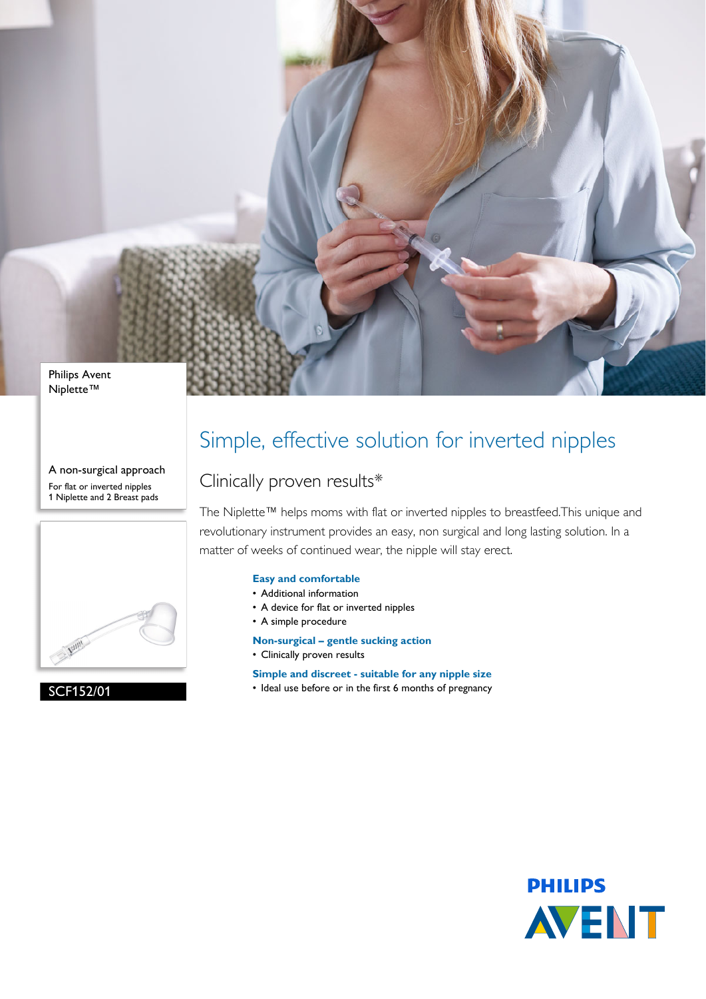

Niplette™

A non-surgical approach For flat or inverted nipples 1 Niplette and 2 Breast pads



SCF152/01

# Simple, effective solution for inverted nipples

## Clinically proven results\*

The Niplette™ helps moms with flat or inverted nipples to breastfeed.This unique and revolutionary instrument provides an easy, non surgical and long lasting solution. In a matter of weeks of continued wear, the nipple will stay erect.

### **Easy and comfortable**

- Additional information
- A device for flat or inverted nipples
- A simple procedure
- **Non-surgical gentle sucking action**
- Clinically proven results

**Simple and discreet - suitable for any nipple size**

• Ideal use before or in the first 6 months of pregnancy